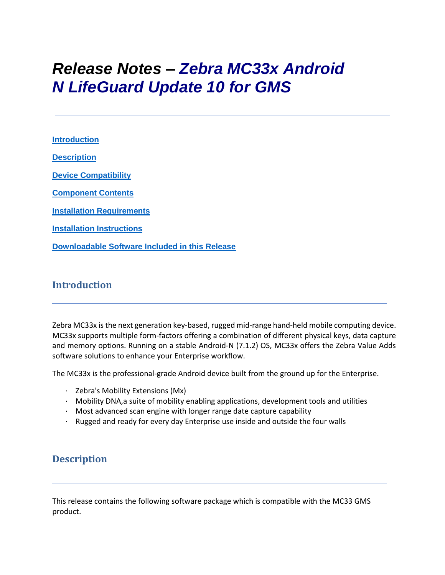# *Release Notes – Zebra MC33x Android N LifeGuard Update 10 for GMS*

**[Introduction](#page-0-0) [Description](#page-0-1) [Device Compatibility](#page-7-0) [Component Contents](#page-1-0) [Installation Requirements](#page-10-0) [Installation Instructions](#page-10-1) [Downloadable Software Included in this Release](#page-12-0)**

## <span id="page-0-0"></span>**Introduction**

Zebra MC33x is the next generation key-based, rugged mid-range hand-held mobile computing device. MC33x supports multiple form-factors offering a combination of different physical keys, data capture and memory options. Running on a stable Android-N (7.1.2) OS, MC33x offers the Zebra Value Adds software solutions to enhance your Enterprise workflow.

The MC33x is the professional-grade Android device built from the ground up for the Enterprise.

- · Zebra's Mobility Extensions (Mx)
- · Mobility DNA,a suite of mobility enabling applications, development tools and utilities
- · Most advanced scan engine with longer range date capture capability
- · Rugged and ready for every day Enterprise use inside and outside the four walls

# <span id="page-0-1"></span>**Description**

This release contains the following software package which is compatible with the MC33 GMS product.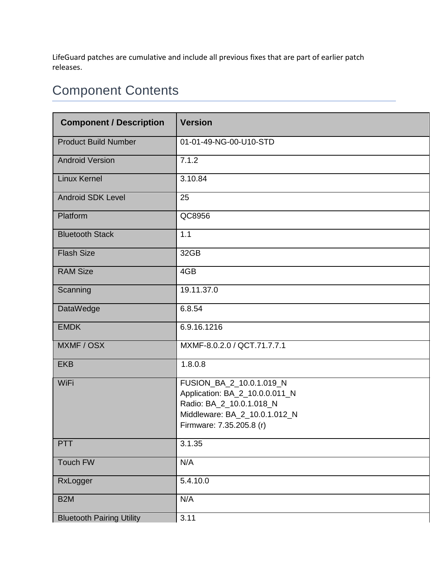LifeGuard patches are cumulative and include all previous fixes that are part of earlier patch releases.

# <span id="page-1-0"></span>Component Contents

| <b>Component / Description</b>   | <b>Version</b>                                                                                                                                      |  |  |
|----------------------------------|-----------------------------------------------------------------------------------------------------------------------------------------------------|--|--|
| <b>Product Build Number</b>      | 01-01-49-NG-00-U10-STD                                                                                                                              |  |  |
| <b>Android Version</b>           | 7.1.2                                                                                                                                               |  |  |
| <b>Linux Kernel</b>              | 3.10.84                                                                                                                                             |  |  |
| <b>Android SDK Level</b>         | 25                                                                                                                                                  |  |  |
| Platform                         | QC8956                                                                                                                                              |  |  |
| <b>Bluetooth Stack</b>           | 1.1                                                                                                                                                 |  |  |
| <b>Flash Size</b>                | 32GB                                                                                                                                                |  |  |
| <b>RAM Size</b>                  | 4GB                                                                                                                                                 |  |  |
| Scanning                         | 19.11.37.0                                                                                                                                          |  |  |
| DataWedge                        | 6.8.54                                                                                                                                              |  |  |
| <b>EMDK</b>                      | 6.9.16.1216                                                                                                                                         |  |  |
| MXMF / OSX                       | MXMF-8.0.2.0 / QCT.71.7.7.1                                                                                                                         |  |  |
| <b>EKB</b>                       | 1.8.0.8                                                                                                                                             |  |  |
| WiFi                             | FUSION_BA_2_10.0.1.019_N<br>Application: BA_2_10.0.0.011_N<br>Radio: BA_2_10.0.1.018_N<br>Middleware: BA_2_10.0.1.012_N<br>Firmware: 7.35.205.8 (r) |  |  |
| PTT                              | 3.1.35                                                                                                                                              |  |  |
| Touch FW                         | N/A                                                                                                                                                 |  |  |
| RxLogger                         | 5.4.10.0                                                                                                                                            |  |  |
| B <sub>2</sub> M                 | N/A                                                                                                                                                 |  |  |
| <b>Bluetooth Pairing Utility</b> | 3.11                                                                                                                                                |  |  |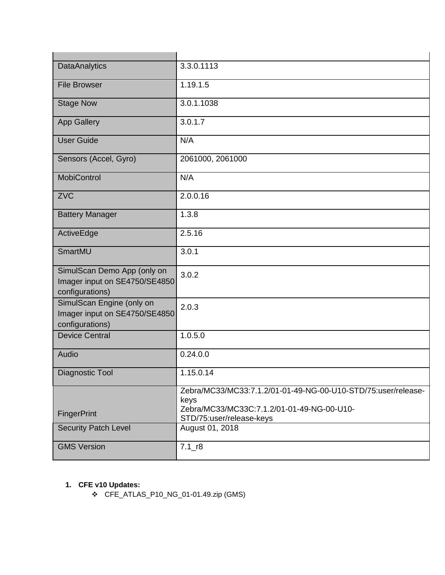| <b>DataAnalytics</b>                                                            | 3.3.0.1113                                                             |
|---------------------------------------------------------------------------------|------------------------------------------------------------------------|
| <b>File Browser</b>                                                             | 1.19.1.5                                                               |
| <b>Stage Now</b>                                                                | 3.0.1.1038                                                             |
| <b>App Gallery</b>                                                              | 3.0.1.7                                                                |
| <b>User Guide</b>                                                               | N/A                                                                    |
| Sensors (Accel, Gyro)                                                           | 2061000, 2061000                                                       |
| <b>MobiControl</b>                                                              | N/A                                                                    |
| <b>ZVC</b>                                                                      | 2.0.0.16                                                               |
| <b>Battery Manager</b>                                                          | 1.3.8                                                                  |
| ActiveEdge                                                                      | 2.5.16                                                                 |
| SmartMU                                                                         | 3.0.1                                                                  |
| SimulScan Demo App (only on<br>Imager input on SE4750/SE4850<br>configurations) | 3.0.2                                                                  |
| SimulScan Engine (only on<br>Imager input on SE4750/SE4850<br>configurations)   | 2.0.3                                                                  |
| <b>Device Central</b>                                                           | 1.0.5.0                                                                |
| Audio                                                                           | 0.24.0.0                                                               |
| Diagnostic Tool                                                                 | 1.15.0.14                                                              |
|                                                                                 | Zebra/MC33/MC33:7.1.2/01-01-49-NG-00-U10-STD/75:user/release-<br>keys  |
| FingerPrint                                                                     | Zebra/MC33/MC33C:7.1.2/01-01-49-NG-00-U10-<br>STD/75:user/release-keys |
| <b>Security Patch Level</b>                                                     | August 01, 2018                                                        |
| <b>GMS Version</b>                                                              | $7.1$ _r8                                                              |

# **1. CFE v10 Updates:**

❖ CFE\_ATLAS\_P10\_NG\_01-01.49.zip (GMS)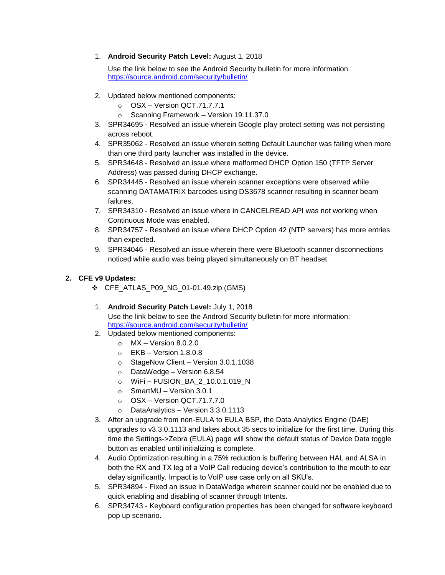1. **Android Security Patch Level:** August 1, 2018

Use the link below to see the Android Security bulletin for more information: <https://source.android.com/security/bulletin/>

- 2. Updated below mentioned components:
	- o OSX Version QCT.71.7.7.1
	- o Scanning Framework Version 19.11.37.0
- 3. SPR34695 Resolved an issue wherein Google play protect setting was not persisting across reboot.
- 4. SPR35062 Resolved an issue wherein setting Default Launcher was failing when more than one third party launcher was installed in the device.
- 5. SPR34648 Resolved an issue where malformed DHCP Option 150 (TFTP Server Address) was passed during DHCP exchange.
- 6. SPR34445 Resolved an issue wherein scanner exceptions were observed while scanning DATAMATRIX barcodes using DS3678 scanner resulting in scanner beam failures.
- 7. SPR34310 Resolved an issue where in CANCELREAD API was not working when Continuous Mode was enabled.
- 8. SPR34757 Resolved an issue where DHCP Option 42 (NTP servers) has more entries than expected.
- 9. SPR34046 Resolved an issue wherein there were Bluetooth scanner disconnections noticed while audio was being played simultaneously on BT headset.

#### **2. CFE v9 Updates:**

- ❖ CFE\_ATLAS\_P09\_NG\_01-01.49.zip (GMS)
- 1. **Android Security Patch Level:** July 1, 2018 Use the link below to see the Android Security bulletin for more information: <https://source.android.com/security/bulletin/>
- 2. Updated below mentioned components:
	- $\circ$  MX Version 8.0.2.0
	- $\circ$  EKB Version 1.8.0.8
	- o StageNow Client Version 3.0.1.1038
	- o DataWedge Version 6.8.54
	- o WiFi FUSION\_BA\_2\_10.0.1.019\_N
	- o SmartMU Version 3.0.1
	- o OSX Version QCT.71.7.7.0
	- o DataAnalytics Version 3.3.0.1113
- 3. After an upgrade from non-EULA to EULA BSP, the Data Analytics Engine (DAE) upgrades to v3.3.0.1113 and takes about 35 secs to initialize for the first time. During this time the Settings->Zebra (EULA) page will show the default status of Device Data toggle button as enabled until initializing is complete.
- 4. Audio Optimization resulting in a 75% reduction is buffering between HAL and ALSA in both the RX and TX leg of a VoIP Call reducing device's contribution to the mouth to ear delay significantly. Impact is to VoIP use case only on all SKU's.
- 5. SPR34894 Fixed an issue in DataWedge wherein scanner could not be enabled due to quick enabling and disabling of scanner through Intents.
- 6. SPR34743 Keyboard configuration properties has been changed for software keyboard pop up scenario.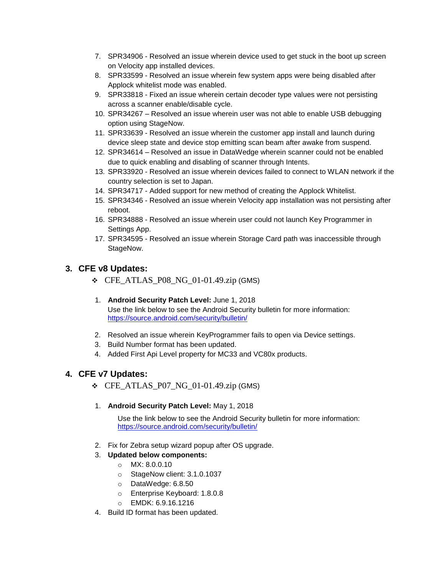- 7. SPR34906 Resolved an issue wherein device used to get stuck in the boot up screen on Velocity app installed devices.
- 8. SPR33599 Resolved an issue wherein few system apps were being disabled after Applock whitelist mode was enabled.
- 9. SPR33818 Fixed an issue wherein certain decoder type values were not persisting across a scanner enable/disable cycle.
- 10. SPR34267 Resolved an issue wherein user was not able to enable USB debugging option using StageNow.
- 11. SPR33639 Resolved an issue wherein the customer app install and launch during device sleep state and device stop emitting scan beam after awake from suspend.
- 12. SPR34614 Resolved an issue in DataWedge wherein scanner could not be enabled due to quick enabling and disabling of scanner through Intents.
- 13. SPR33920 Resolved an issue wherein devices failed to connect to WLAN network if the country selection is set to Japan.
- 14. SPR34717 Added support for new method of creating the Applock Whitelist.
- 15. SPR34346 Resolved an issue wherein Velocity app installation was not persisting after reboot.
- 16. SPR34888 Resolved an issue wherein user could not launch Key Programmer in Settings App.
- 17. SPR34595 Resolved an issue wherein Storage Card path was inaccessible through StageNow.

## **3. CFE v8 Updates:**

- $\div$  CFE\_ATLAS\_P08\_NG\_01-01.49.zip (GMS)
- 1. **Android Security Patch Level:** June 1, 2018 Use the link below to see the Android Security bulletin for more information: <https://source.android.com/security/bulletin/>
- 2. Resolved an issue wherein KeyProgrammer fails to open via Device settings.
- 3. Build Number format has been updated.
- 4. Added First Api Level property for MC33 and VC80x products.

## **4. CFE v7 Updates:**

- $\div$  CFE\_ATLAS\_P07\_NG\_01-01.49.zip (GMS)
- 1. **Android Security Patch Level:** May 1, 2018

Use the link below to see the Android Security bulletin for more information: <https://source.android.com/security/bulletin/>

- 2. Fix for Zebra setup wizard popup after OS upgrade.
- 3. **Updated below components:**
	- o MX: 8.0.0.10
	- o StageNow client: 3.1.0.1037
	- o DataWedge: 6.8.50
	- o Enterprise Keyboard: 1.8.0.8
	- o EMDK: 6.9.16.1216
- 4. Build ID format has been updated.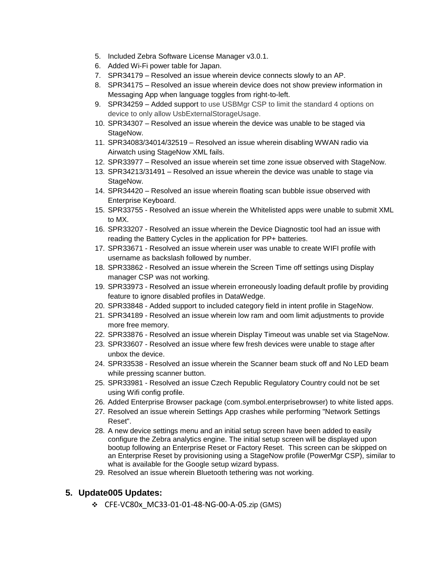- 5. Included Zebra Software License Manager v3.0.1.
- 6. Added Wi-Fi power table for Japan.
- 7. SPR34179 Resolved an issue wherein device connects slowly to an AP.
- 8. SPR34175 Resolved an issue wherein device does not show preview information in Messaging App when language toggles from right-to-left.
- 9. SPR34259 Added support to use USBMgr CSP to limit the standard 4 options on device to only allow UsbExternalStorageUsage.
- 10. SPR34307 Resolved an issue wherein the device was unable to be staged via StageNow.
- 11. SPR34083/34014/32519 Resolved an issue wherein disabling WWAN radio via Airwatch using StageNow XML fails.
- 12. SPR33977 Resolved an issue wherein set time zone issue observed with StageNow.
- 13. SPR34213/31491 Resolved an issue wherein the device was unable to stage via StageNow.
- 14. SPR34420 Resolved an issue wherein floating scan bubble issue observed with Enterprise Keyboard.
- 15. SPR33755 Resolved an issue wherein the Whitelisted apps were unable to submit XML to MX.
- 16. SPR33207 Resolved an issue wherein the Device Diagnostic tool had an issue with reading the Battery Cycles in the application for PP+ batteries.
- 17. SPR33671 Resolved an issue wherein user was unable to create WIFI profile with username as backslash followed by number.
- 18. SPR33862 Resolved an issue wherein the Screen Time off settings using Display manager CSP was not working.
- 19. SPR33973 Resolved an issue wherein erroneously loading default profile by providing feature to ignore disabled profiles in DataWedge.
- 20. SPR33848 Added support to included category field in intent profile in StageNow.
- 21. SPR34189 Resolved an issue wherein low ram and oom limit adjustments to provide more free memory.
- 22. SPR33876 Resolved an issue wherein Display Timeout was unable set via StageNow.
- 23. SPR33607 Resolved an issue where few fresh devices were unable to stage after unbox the device.
- 24. SPR33538 Resolved an issue wherein the Scanner beam stuck off and No LED beam while pressing scanner button.
- 25. SPR33981 Resolved an issue Czech Republic Regulatory Country could not be set using Wifi config profile.
- 26. Added Enterprise Browser package (com.symbol.enterprisebrowser) to white listed apps.
- 27. Resolved an issue wherein Settings App crashes while performing "Network Settings Reset".
- 28. A new device settings menu and an initial setup screen have been added to easily configure the Zebra analytics engine. The initial setup screen will be displayed upon bootup following an Enterprise Reset or Factory Reset. This screen can be skipped on an Enterprise Reset by provisioning using a StageNow profile (PowerMgr CSP), similar to what is available for the Google setup wizard bypass.
- 29. Resolved an issue wherein Bluetooth tethering was not working.

#### **5. Update005 Updates:**

❖ CFE-VC80x\_MC33-01-01-48-NG-00-A-05.zip (GMS)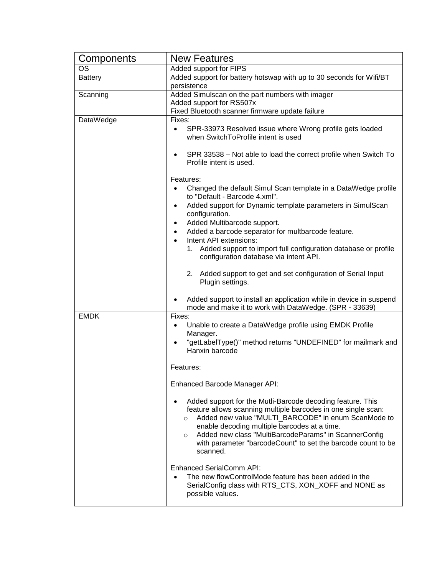| Components     | <b>New Features</b>                                                                                                                                                                                                                                                                                                                                                                           |  |  |
|----------------|-----------------------------------------------------------------------------------------------------------------------------------------------------------------------------------------------------------------------------------------------------------------------------------------------------------------------------------------------------------------------------------------------|--|--|
| OS             | Added support for FIPS                                                                                                                                                                                                                                                                                                                                                                        |  |  |
| <b>Battery</b> | Added support for battery hotswap with up to 30 seconds for Wifi/BT                                                                                                                                                                                                                                                                                                                           |  |  |
|                | persistence                                                                                                                                                                                                                                                                                                                                                                                   |  |  |
| Scanning       | Added Simulscan on the part numbers with imager                                                                                                                                                                                                                                                                                                                                               |  |  |
|                | Added support for RS507x                                                                                                                                                                                                                                                                                                                                                                      |  |  |
|                | Fixed Bluetooth scanner firmware update failure                                                                                                                                                                                                                                                                                                                                               |  |  |
| DataWedge      | Fixes:<br>SPR-33973 Resolved issue where Wrong profile gets loaded<br>$\bullet$<br>when SwitchToProfile intent is used                                                                                                                                                                                                                                                                        |  |  |
|                | SPR 33538 - Not able to load the correct profile when Switch To<br>Profile intent is used.                                                                                                                                                                                                                                                                                                    |  |  |
|                | Features:                                                                                                                                                                                                                                                                                                                                                                                     |  |  |
|                | Changed the default Simul Scan template in a DataWedge profile<br>to "Default - Barcode 4.xml".                                                                                                                                                                                                                                                                                               |  |  |
|                | Added support for Dynamic template parameters in SimulScan<br>configuration.                                                                                                                                                                                                                                                                                                                  |  |  |
|                | Added Multibarcode support.                                                                                                                                                                                                                                                                                                                                                                   |  |  |
|                | Added a barcode separator for multbarcode feature.<br>Intent API extensions:                                                                                                                                                                                                                                                                                                                  |  |  |
|                | Added support to import full configuration database or profile<br>1.<br>configuration database via intent API.                                                                                                                                                                                                                                                                                |  |  |
|                | 2.<br>Added support to get and set configuration of Serial Input<br>Plugin settings.                                                                                                                                                                                                                                                                                                          |  |  |
|                | Added support to install an application while in device in suspend<br>mode and make it to work with DataWedge. (SPR - 33639)                                                                                                                                                                                                                                                                  |  |  |
| <b>EMDK</b>    | Fixes:                                                                                                                                                                                                                                                                                                                                                                                        |  |  |
|                | Unable to create a DataWedge profile using EMDK Profile<br>$\bullet$<br>Manager.                                                                                                                                                                                                                                                                                                              |  |  |
|                | "getLabelType()" method returns "UNDEFINED" for mailmark and<br>$\bullet$<br>Hanxin barcode                                                                                                                                                                                                                                                                                                   |  |  |
|                | Features:                                                                                                                                                                                                                                                                                                                                                                                     |  |  |
|                | Enhanced Barcode Manager API:                                                                                                                                                                                                                                                                                                                                                                 |  |  |
|                | Added support for the Mutli-Barcode decoding feature. This<br>feature allows scanning multiple barcodes in one single scan:<br>Added new value "MULTI_BARCODE" in enum ScanMode to<br>$\circ$<br>enable decoding multiple barcodes at a time.<br>Added new class "MultiBarcodeParams" in ScannerConfig<br>$\circ$<br>with parameter "barcodeCount" to set the barcode count to be<br>scanned. |  |  |
|                | <b>Enhanced SerialComm API:</b><br>The new flowControlMode feature has been added in the<br>SerialConfig class with RTS_CTS, XON_XOFF and NONE as<br>possible values.                                                                                                                                                                                                                         |  |  |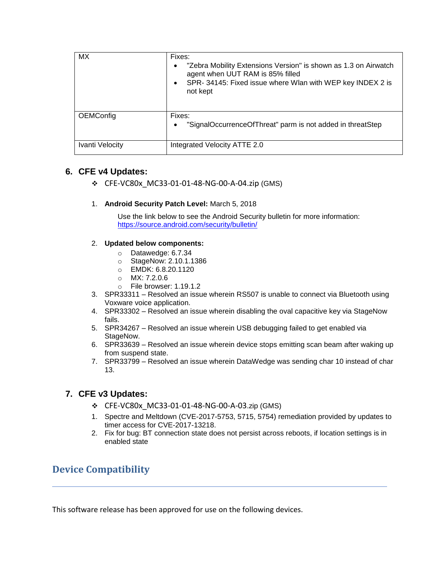| <b>MX</b>       | Fixes:<br>"Zebra Mobility Extensions Version" is shown as 1.3 on Airwatch<br>agent when UUT RAM is 85% filled<br>SPR-34145: Fixed issue where Wlan with WEP key INDEX 2 is<br>not kept |
|-----------------|----------------------------------------------------------------------------------------------------------------------------------------------------------------------------------------|
| OEMConfig       | Fixes:<br>"SignalOccurrenceOfThreat" parm is not added in threatStep                                                                                                                   |
| Ivanti Velocity | Integrated Velocity ATTE 2.0                                                                                                                                                           |

## **6. CFE v4 Updates:**

- ❖ CFE-VC80x\_MC33-01-01-48-NG-00-A-04.zip (GMS)
- 1. **Android Security Patch Level:** March 5, 2018

Use the link below to see the Android Security bulletin for more information: <https://source.android.com/security/bulletin/>

#### 2. **Updated below components:**

- o Datawedge: 6.7.34
- o StageNow: 2.10.1.1386
- o EMDK: 6.8.20.1120
- o MX: 7.2.0.6
- o File browser: 1.19.1.2
- 3. SPR33311 Resolved an issue wherein RS507 is unable to connect via Bluetooth using Voxware voice application.
- 4. SPR33302 Resolved an issue wherein disabling the oval capacitive key via StageNow fails.
- 5. SPR34267 Resolved an issue wherein USB debugging failed to get enabled via StageNow.
- 6. SPR33639 Resolved an issue wherein device stops emitting scan beam after waking up from suspend state.
- 7. SPR33799 Resolved an issue wherein DataWedge was sending char 10 instead of char 13.

## **7. CFE v3 Updates:**

- ❖ CFE-VC80x\_MC33-01-01-48-NG-00-A-03.zip (GMS)
- 1. Spectre and Meltdown (CVE-2017-5753, 5715, 5754) remediation provided by updates to timer access for CVE-2017-13218.
- 2. Fix for bug: BT connection state does not persist across reboots, if location settings is in enabled state

# <span id="page-7-0"></span>**Device Compatibility**

This software release has been approved for use on the following devices.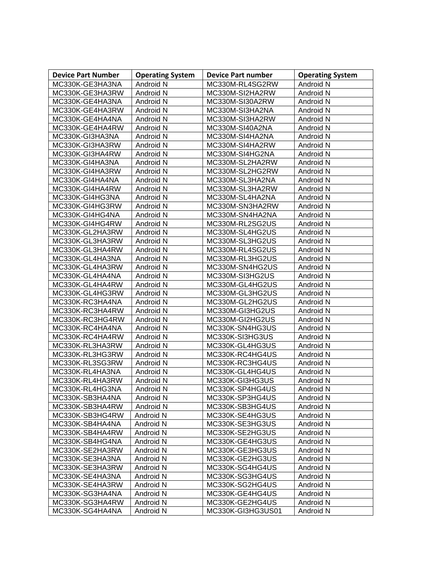| <b>Device Part Number</b> | <b>Operating System</b> | <b>Device Part number</b> | <b>Operating System</b> |
|---------------------------|-------------------------|---------------------------|-------------------------|
| MC330K-GE3HA3NA           | Android N               | MC330M-RL4SG2RW           | Android N               |
| MC330K-GE3HA3RW           | Android N               | MC330M-SI2HA2RW           | Android N               |
| MC330K-GE4HA3NA           | Android N               | MC330M-SI30A2RW           | Android N               |
| MC330K-GE4HA3RW           | Android N               | MC330M-SI3HA2NA           | Android N               |
| MC330K-GE4HA4NA           | Android N               | MC330M-SI3HA2RW           | Android N               |
| MC330K-GE4HA4RW           | Android N               | MC330M-SI40A2NA           | Android N               |
| MC330K-GI3HA3NA           | Android N               | MC330M-SI4HA2NA           | Android N               |
| MC330K-GI3HA3RW           | Android N               | MC330M-SI4HA2RW           | Android N               |
| MC330K-GI3HA4RW           | Android N               | MC330M-SI4HG2NA           | Android N               |
| MC330K-GI4HA3NA           | Android N               | MC330M-SL2HA2RW           | Android N               |
| MC330K-GI4HA3RW           | Android N               | MC330M-SL2HG2RW           | Android N               |
| MC330K-GI4HA4NA           | Android N               | MC330M-SL3HA2NA           | Android N               |
| MC330K-GI4HA4RW           | Android N               | MC330M-SL3HA2RW           | Android N               |
| MC330K-GI4HG3NA           | Android N               | MC330M-SL4HA2NA           | Android N               |
| MC330K-GI4HG3RW           | Android N               | MC330M-SN3HA2RW           | Android N               |
| MC330K-GI4HG4NA           | Android N               | MC330M-SN4HA2NA           | Android N               |
| MC330K-GI4HG4RW           | Android N               | MC330M-RL2SG2US           | Android N               |
| MC330K-GL2HA3RW           | Android N               | MC330M-SL4HG2US           | Android N               |
| MC330K-GL3HA3RW           | Android N               | MC330M-SL3HG2US           | Android N               |
| MC330K-GL3HA4RW           | Android N               | MC330M-RL4SG2US           | Android N               |
| MC330K-GL4HA3NA           | Android N               | MC330M-RL3HG2US           | Android N               |
| MC330K-GL4HA3RW           | Android N               | MC330M-SN4HG2US           | Android N               |
| MC330K-GL4HA4NA           | Android N               | MC330M-SI3HG2US           | Android N               |
| MC330K-GL4HA4RW           | Android N               | MC330M-GL4HG2US           | Android N               |
| MC330K-GL4HG3RW           | Android N               | MC330M-GL3HG2US           | Android N               |
| MC330K-RC3HA4NA           | Android N               | MC330M-GL2HG2US           | Android N               |
| MC330K-RC3HA4RW           | Android N               | MC330M-GI3HG2US           | Android N               |
| MC330K-RC3HG4RW           | Android N               | MC330M-GI2HG2US           | Android N               |
| MC330K-RC4HA4NA           | Android N               | MC330K-SN4HG3US           | Android N               |
| MC330K-RC4HA4RW           | Android N               | MC330K-SI3HG3US           | Android N               |
| MC330K-RL3HA3RW           | Android N               | MC330K-GL4HG3US           | Android N               |
| MC330K-RL3HG3RW           | Android N               | MC330K-RC4HG4US           | Android N               |
| MC330K-RL3SG3RW           | Android N               | MC330K-RC3HG4US           | Android N               |
| MC330K-RL4HA3NA           | Android N               | MC330K-GL4HG4US           | Android N               |
| MC330K-RL4HA3RW           | Android N               | MC330K-GI3HG3US           | Android N               |
| MC330K-RL4HG3NA           | Android N               | MC330K-SP4HG4US           | Android N               |
| MC330K-SB3HA4NA           | Android N               | MC330K-SP3HG4US           | Android N               |
| MC330K-SB3HA4RW           | Android N               | MC330K-SB3HG4US           | Android N               |
| MC330K-SB3HG4RW           | Android N               | MC330K-SE4HG3US           | Android N               |
| MC330K-SB4HA4NA           | Android N               | MC330K-SE3HG3US           | Android N               |
| MC330K-SB4HA4RW           | Android N               | MC330K-SE2HG3US           | Android N               |
| MC330K-SB4HG4NA           | Android N               | MC330K-GE4HG3US           | Android N               |
| MC330K-SE2HA3RW           | Android N               | MC330K-GE3HG3US           | Android N               |
| MC330K-SE3HA3NA           | Android N               | MC330K-GE2HG3US           | Android N               |
| MC330K-SE3HA3RW           | Android N               | MC330K-SG4HG4US           | Android N               |
| MC330K-SE4HA3NA           | Android N               | MC330K-SG3HG4US           | Android N               |
| MC330K-SE4HA3RW           | Android N               | MC330K-SG2HG4US           | Android N               |
| MC330K-SG3HA4NA           | Android N               | MC330K-GE4HG4US           | Android N               |
| MC330K-SG3HA4RW           | Android N               | MC330K-GE2HG4US           | Android N               |
| MC330K-SG4HA4NA           | Android N               | MC330K-GI3HG3US01         | Android N               |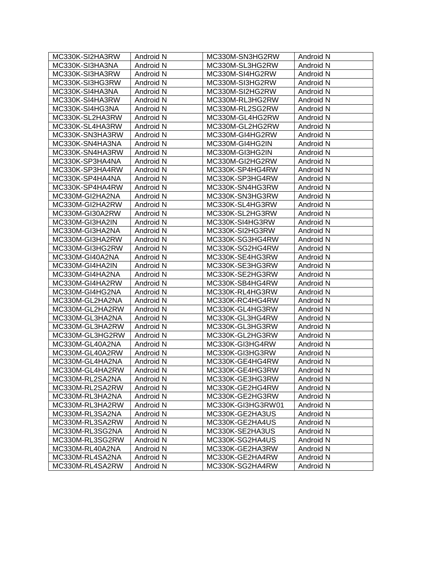| MC330K-SI2HA3RW | Android N | MC330M-SN3HG2RW   | Android N |
|-----------------|-----------|-------------------|-----------|
| MC330K-SI3HA3NA | Android N | MC330M-SL3HG2RW   | Android N |
| MC330K-SI3HA3RW | Android N | MC330M-SI4HG2RW   | Android N |
| MC330K-SI3HG3RW | Android N | MC330M-SI3HG2RW   | Android N |
| MC330K-SI4HA3NA | Android N | MC330M-SI2HG2RW   | Android N |
| MC330K-SI4HA3RW | Android N | MC330M-RL3HG2RW   | Android N |
| MC330K-SI4HG3NA | Android N | MC330M-RL2SG2RW   | Android N |
| MC330K-SL2HA3RW | Android N | MC330M-GL4HG2RW   | Android N |
| MC330K-SL4HA3RW | Android N | MC330M-GL2HG2RW   | Android N |
| MC330K-SN3HA3RW | Android N | MC330M-GI4HG2RW   | Android N |
| MC330K-SN4HA3NA | Android N | MC330M-GI4HG2IN   | Android N |
| MC330K-SN4HA3RW | Android N | MC330M-GI3HG2IN   | Android N |
| MC330K-SP3HA4NA | Android N | MC330M-GI2HG2RW   | Android N |
| MC330K-SP3HA4RW | Android N | MC330K-SP4HG4RW   | Android N |
| MC330K-SP4HA4NA | Android N | MC330K-SP3HG4RW   | Android N |
| MC330K-SP4HA4RW | Android N | MC330K-SN4HG3RW   | Android N |
| MC330M-GI2HA2NA | Android N | MC330K-SN3HG3RW   | Android N |
| MC330M-GI2HA2RW | Android N | MC330K-SL4HG3RW   | Android N |
| MC330M-GI30A2RW | Android N | MC330K-SL2HG3RW   | Android N |
| MC330M-GI3HA2IN | Android N | MC330K-SI4HG3RW   | Android N |
| MC330M-GI3HA2NA | Android N | MC330K-SI2HG3RW   | Android N |
| MC330M-GI3HA2RW | Android N | MC330K-SG3HG4RW   | Android N |
| MC330M-GI3HG2RW | Android N | MC330K-SG2HG4RW   | Android N |
| MC330M-GI40A2NA | Android N | MC330K-SE4HG3RW   | Android N |
| MC330M-GI4HA2IN | Android N | MC330K-SE3HG3RW   | Android N |
| MC330M-GI4HA2NA | Android N | MC330K-SE2HG3RW   | Android N |
| MC330M-GI4HA2RW | Android N | MC330K-SB4HG4RW   | Android N |
| MC330M-GI4HG2NA | Android N | MC330K-RL4HG3RW   | Android N |
| MC330M-GL2HA2NA | Android N | MC330K-RC4HG4RW   | Android N |
| MC330M-GL2HA2RW | Android N | MC330K-GL4HG3RW   | Android N |
| MC330M-GL3HA2NA | Android N | MC330K-GL3HG4RW   | Android N |
| MC330M-GL3HA2RW | Android N | MC330K-GL3HG3RW   | Android N |
| MC330M-GL3HG2RW | Android N | MC330K-GL2HG3RW   | Android N |
| MC330M-GL40A2NA | Android N | MC330K-GI3HG4RW   | Android N |
| MC330M-GL40A2RW | Android N | MC330K-GI3HG3RW   | Android N |
| MC330M-GL4HA2NA | Android N | MC330K-GE4HG4RW   | Android N |
| MC330M-GL4HA2RW | Android N | MC330K-GE4HG3RW   | Android N |
| MC330M-RL2SA2NA | Android N | MC330K-GE3HG3RW   | Android N |
| MC330M-RL2SA2RW | Android N | MC330K-GE2HG4RW   | Android N |
| MC330M-RL3HA2NA | Android N | MC330K-GE2HG3RW   | Android N |
| MC330M-RL3HA2RW | Android N | MC330K-GI3HG3RW01 | Android N |
| MC330M-RL3SA2NA | Android N | MC330K-GE2HA3US   | Android N |
| MC330M-RL3SA2RW | Android N | MC330K-GE2HA4US   | Android N |
| MC330M-RL3SG2NA | Android N | MC330K-SE2HA3US   | Android N |
| MC330M-RL3SG2RW | Android N | MC330K-SG2HA4US   | Android N |
| MC330M-RL40A2NA | Android N | MC330K-GE2HA3RW   | Android N |
| MC330M-RL4SA2NA | Android N | MC330K-GE2HA4RW   | Android N |
| MC330M-RL4SA2RW | Android N | MC330K-SG2HA4RW   | Android N |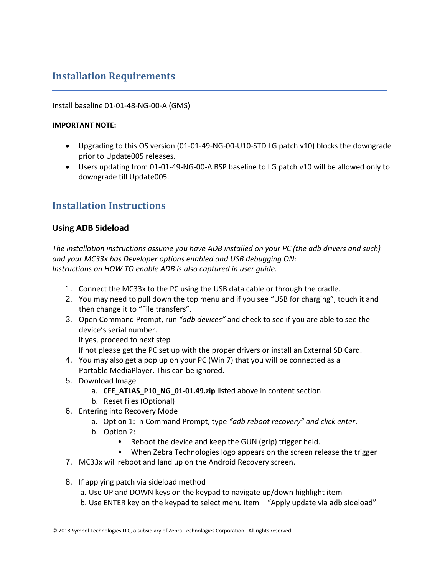# <span id="page-10-0"></span>**Installation Requirements**

#### Install baseline 01-01-48-NG-00-A (GMS)

#### **IMPORTANT NOTE:**

- Upgrading to this OS version (01-01-49-NG-00-U10-STD LG patch v10) blocks the downgrade prior to Update005 releases.
- Users updating from 01-01-49-NG-00-A BSP baseline to LG patch v10 will be allowed only to downgrade till Update005.

## <span id="page-10-1"></span>**Installation Instructions**

### **Using ADB Sideload**

*The installation instructions assume you have ADB installed on your PC (the adb drivers and such) and your MC33x has Developer options enabled and USB debugging ON: Instructions on HOW TO enable ADB is also captured in user guide.*

- 1. Connect the MC33x to the PC using the USB data cable or through the cradle.
- 2. You may need to pull down the top menu and if you see "USB for charging", touch it and then change it to "File transfers".
- 3. Open Command Prompt, run *"adb devices"* and check to see if you are able to see the device's serial number.

If yes, proceed to next step

If not please get the PC set up with the proper drivers or install an External SD Card.

- 4. You may also get a pop up on your PC (Win 7) that you will be connected as a Portable MediaPlayer. This can be ignored.
- 5. Download Image
	- a. **CFE\_ATLAS\_P10\_NG\_01-01.49.zip** listed above in content section
	- b. Reset files (Optional)
- 6. Entering into Recovery Mode
	- a. Option 1: In Command Prompt, type *"adb reboot recovery" and click enter*.
	- b. Option 2:
		- Reboot the device and keep the GUN (grip) trigger held.
		- When Zebra Technologies logo appears on the screen release the trigger
- 7. MC33x will reboot and land up on the Android Recovery screen.
- 8. If applying patch via sideload method
	- a. Use UP and DOWN keys on the keypad to navigate up/down highlight item
	- b. Use ENTER key on the keypad to select menu item "Apply update via adb sideload"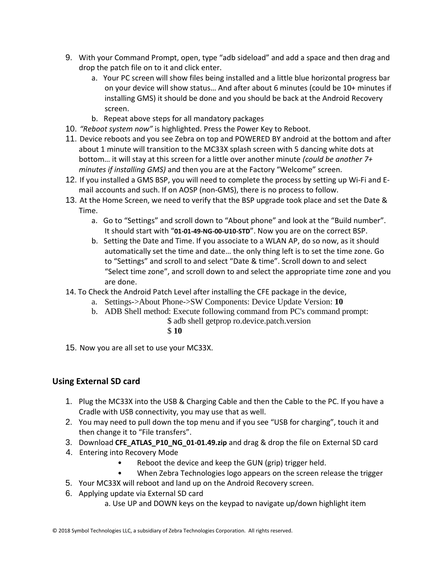- 9. With your Command Prompt, open, type "adb sideload" and add a space and then drag and drop the patch file on to it and click enter.
	- a. Your PC screen will show files being installed and a little blue horizontal progress bar on your device will show status… And after about 6 minutes (could be 10+ minutes if installing GMS) it should be done and you should be back at the Android Recovery screen.
	- b. Repeat above steps for all mandatory packages
- 10. *"Reboot system now"* is highlighted. Press the Power Key to Reboot.
- 11. Device reboots and you see Zebra on top and POWERED BY android at the bottom and after about 1 minute will transition to the MC33X splash screen with 5 dancing white dots at bottom… it will stay at this screen for a little over another minute *(could be another 7+ minutes if installing GMS)* and then you are at the Factory "Welcome" screen.
- 12. If you installed a GMS BSP, you will need to complete the process by setting up Wi‐Fi and E‐ mail accounts and such. If on AOSP (non‐GMS), there is no process to follow.
- 13. At the Home Screen, we need to verify that the BSP upgrade took place and set the Date & Time.
	- a. Go to "Settings" and scroll down to "About phone" and look at the "Build number". It should start with "**01-01-49-NG-00-U10-STD**". Now you are on the correct BSP.
	- b. Setting the Date and Time. If you associate to a WLAN AP, do so now, as it should automatically set the time and date… the only thing left is to set the time zone. Go to "Settings" and scroll to and select "Date & time". Scroll down to and select "Select time zone", and scroll down to and select the appropriate time zone and you are done.
- 14. To Check the Android Patch Level after installing the CFE package in the device,
	- a. Settings->About Phone->SW Components: Device Update Version: **10**
	- b. ADB Shell method: Execute following command from PC's command prompt:
		- \$ adb shell getprop ro.device.patch.version
			- \$ **10**
- 15. Now you are all set to use your MC33X.

## **Using External SD card**

- 1. Plug the MC33X into the USB & Charging Cable and then the Cable to the PC. If you have a Cradle with USB connectivity, you may use that as well.
- 2. You may need to pull down the top menu and if you see "USB for charging", touch it and then change it to "File transfers".
- 3. Download **CFE\_ATLAS\_P10\_NG\_01-01.49.zip** and drag & drop the file on External SD card
- 4. Entering into Recovery Mode
	- Reboot the device and keep the GUN (grip) trigger held.
	- When Zebra Technologies logo appears on the screen release the trigger
- 5. Your MC33X will reboot and land up on the Android Recovery screen.
- 6. Applying update via External SD card
	- a. Use UP and DOWN keys on the keypad to navigate up/down highlight item